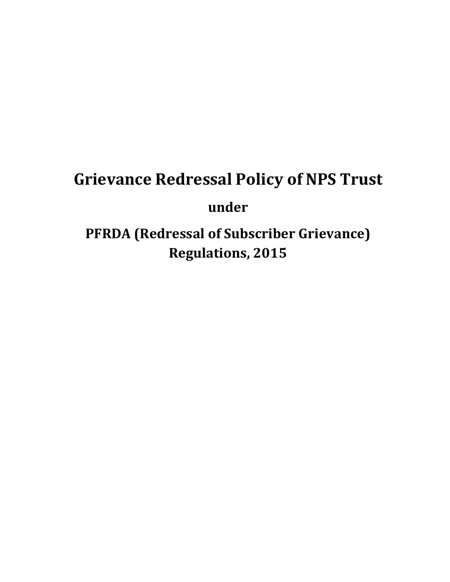# **Grievance Redressal Policy of NPS Trust under PFRDA (Redressal of Subscriber Grievance)**

**Regulations, 2015**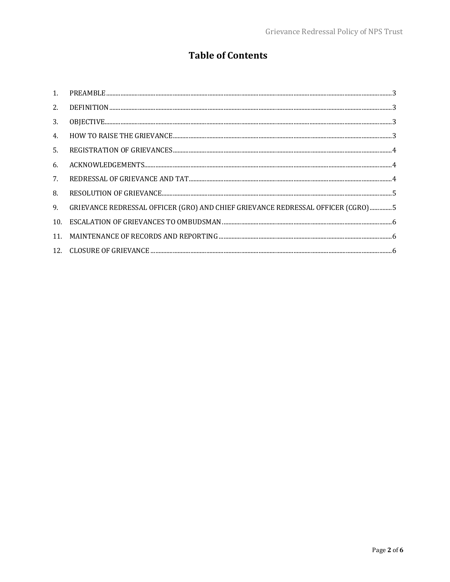# **Table of Contents**

| 2.  |                                                                                 |
|-----|---------------------------------------------------------------------------------|
| 3.  |                                                                                 |
| 4.  |                                                                                 |
| .5. |                                                                                 |
| 6.  |                                                                                 |
| 7.  |                                                                                 |
| 8.  |                                                                                 |
| 9.  | GRIEVANCE REDRESSAL OFFICER (GRO) AND CHIEF GRIEVANCE REDRESSAL OFFICER (CGRO)5 |
| 10. |                                                                                 |
| 11. |                                                                                 |
|     |                                                                                 |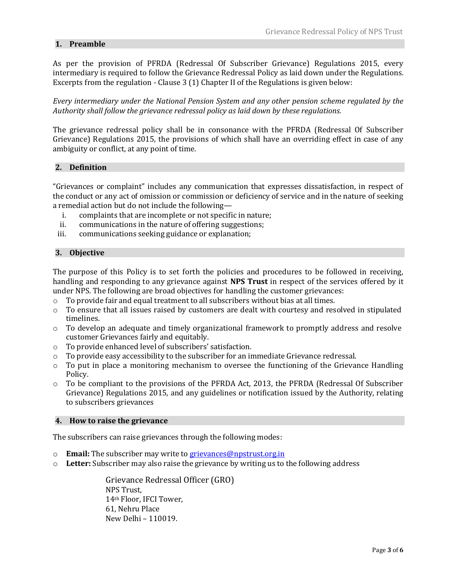# <span id="page-2-0"></span>**1. Preamble**

As per the provision of PFRDA (Redressal Of Subscriber Grievance) Regulations 2015, every intermediary is required to follow the Grievance Redressal Policy as laid down under the Regulations. Excerpts from the regulation - Clause 3 (1) Chapter II of the Regulations is given below:

*Every intermediary under the National Pension System and any other pension scheme regulated by the Authority shall follow the grievance redressal policy as laid down by these regulations.*

The grievance redressal policy shall be in consonance with the PFRDA (Redressal Of Subscriber Grievance) Regulations 2015, the provisions of which shall have an overriding effect in case of any ambiguity or conflict, at any point of time.

# <span id="page-2-1"></span>**2. Definition**

"Grievances or complaint" includes any communication that expresses dissatisfaction, in respect of the conduct or any act of omission or commission or deficiency of service and in the nature of seeking a remedial action but do not include the following—

- i. complaints that are incomplete or not specific in nature;
- ii. communications in the nature of offering suggestions;
- iii. communications seeking guidance or explanation;

# <span id="page-2-2"></span>**3. Objective**

The purpose of this Policy is to set forth the policies and procedures to be followed in receiving, handling and responding to any grievance against **NPS Trust** in respect of the services offered by it under NPS. The following are broad objectives for handling the customer grievances:

- $\circ$  To provide fair and equal treatment to all subscribers without bias at all times.
- $\circ$  To ensure that all issues raised by customers are dealt with courtesy and resolved in stipulated timelines.
- $\circ$  To develop an adequate and timely organizational framework to promptly address and resolve customer Grievances fairly and equitably.
- o To provide enhanced level of subscribers' satisfaction.
- $\circ$  To provide easy accessibility to the subscriber for an immediate Grievance redressal.
- $\circ$  To put in place a monitoring mechanism to oversee the functioning of the Grievance Handling Policy.
- o To be compliant to the provisions of the PFRDA Act, 2013, the PFRDA (Redressal Of Subscriber Grievance) Regulations 2015, and any guidelines or notification issued by the Authority, relating to subscribers grievances

#### <span id="page-2-3"></span>**4. How to raise the grievance**

The subscribers can raise grievances through the following modes:

- o **Email:** The subscriber may write to [grievances@npstrust.org.in](mailto:grievances@npstrust.org.in)
- o **Letter:** Subscriber may also raise the grievance by writing us to the following address

Grievance Redressal Officer (GRO) NPS Trust, 14th Floor, IFCI Tower, 61, Nehru Place New Delhi – 110019.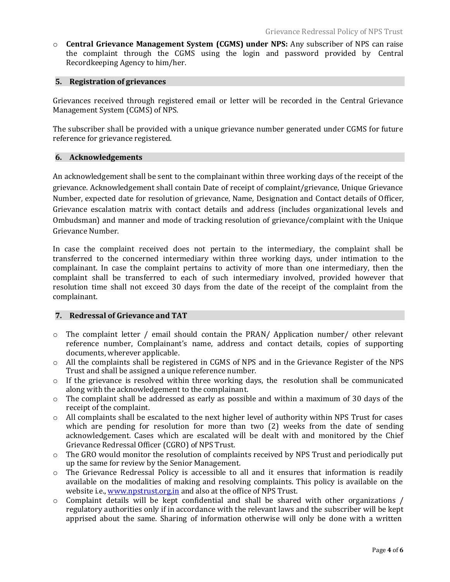o **Central Grievance Management System (CGMS) under NPS:** Any subscriber of NPS can raise the complaint through the CGMS using the login and password provided by Central Recordkeeping Agency to him/her.

# <span id="page-3-0"></span>**5. Registration of grievances**

Grievances received through registered email or letter will be recorded in the Central Grievance Management System (CGMS) of NPS.

The subscriber shall be provided with a unique grievance number generated under CGMS for future reference for grievance registered.

# <span id="page-3-1"></span>**6. Acknowledgements**

An acknowledgement shall be sent to the complainant within three working days of the receipt of the grievance. Acknowledgement shall contain Date of receipt of complaint/grievance, Unique Grievance Number, expected date for resolution of grievance, Name, Designation and Contact details of Officer, Grievance escalation matrix with contact details and address (includes organizational levels and Ombudsman) and manner and mode of tracking resolution of grievance/complaint with the Unique Grievance Number.

In case the complaint received does not pertain to the intermediary, the complaint shall be transferred to the concerned intermediary within three working days, under intimation to the complainant. In case the complaint pertains to activity of more than one intermediary, then the complaint shall be transferred to each of such intermediary involved, provided however that resolution time shall not exceed 30 days from the date of the receipt of the complaint from the complainant.

# <span id="page-3-2"></span>**7. Redressal of Grievance and TAT**

- o The complaint letter / email should contain the PRAN/ Application number/ other relevant reference number, Complainant's name, address and contact details, copies of supporting documents, wherever applicable.
- o All the complaints shall be registered in CGMS of NPS and in the Grievance Register of the NPS Trust and shall be assigned a unique reference number.
- $\circ$  If the grievance is resolved within three working days, the resolution shall be communicated along with the acknowledgement to the complainant.
- $\circ$  The complaint shall be addressed as early as possible and within a maximum of 30 days of the receipt of the complaint.
- $\circ$  All complaints shall be escalated to the next higher level of authority within NPS Trust for cases which are pending for resolution for more than two (2) weeks from the date of sending acknowledgement. Cases which are escalated will be dealt with and monitored by the Chief Grievance Redressal Officer (CGRO) of NPS Trust.
- $\circ$  The GRO would monitor the resolution of complaints received by NPS Trust and periodically put up the same for review by the Senior Management.
- o The Grievance Redressal Policy is accessible to all and it ensures that information is readily available on the modalities of making and resolving complaints. This policy is available on the website i.e., [www.npstrust.org.in](http://www.npstrust.org.in/) and also at the office of NPS Trust.
- $\circ$  Complaint details will be kept confidential and shall be shared with other organizations / regulatory authorities only if in accordance with the relevant laws and the subscriber will be kept apprised about the same. Sharing of information otherwise will only be done with a written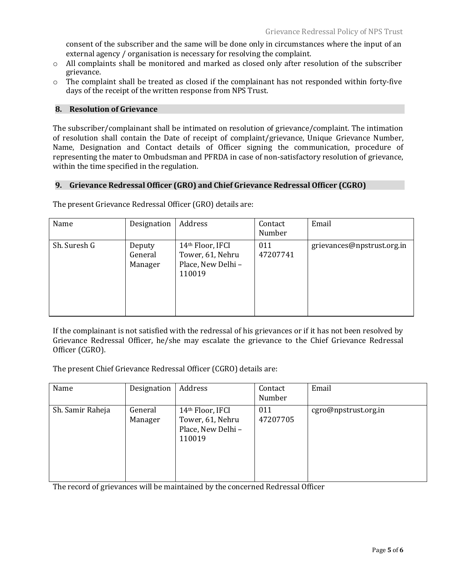consent of the subscriber and the same will be done only in circumstances where the input of an external agency / organisation is necessary for resolving the complaint.

- $\circ$  All complaints shall be monitored and marked as closed only after resolution of the subscriber grievance.
- $\circ$  The complaint shall be treated as closed if the complainant has not responded within forty-five days of the receipt of the written response from NPS Trust.

#### <span id="page-4-0"></span>**8. Resolution of Grievance**

The subscriber/complainant shall be intimated on resolution of grievance/complaint. The intimation of resolution shall contain the Date of receipt of complaint/grievance, Unique Grievance Number, Name, Designation and Contact details of Officer signing the communication, procedure of representing the mater to Ombudsman and PFRDA in case of non-satisfactory resolution of grievance, within the time specified in the regulation.

#### <span id="page-4-1"></span>**9. Grievance Redressal Officer (GRO) and Chief Grievance Redressal Officer (CGRO)**

| Name         | Designation                  | Address                                                             | Contact<br>Number | Email                      |
|--------------|------------------------------|---------------------------------------------------------------------|-------------------|----------------------------|
| Sh. Suresh G | Deputy<br>General<br>Manager | 14th Floor, IFCI<br>Tower, 61, Nehru<br>Place, New Delhi-<br>110019 | 011<br>47207741   | grievances@npstrust.org.in |

The present Grievance Redressal Officer (GRO) details are:

If the complainant is not satisfied with the redressal of his grievances or if it has not been resolved by Grievance Redressal Officer, he/she may escalate the grievance to the Chief Grievance Redressal Officer (CGRO).

The present Chief Grievance Redressal Officer (CGRO) details are:

| Name             | Designation        | Address                                                              | Contact<br>Number | Email                |
|------------------|--------------------|----------------------------------------------------------------------|-------------------|----------------------|
| Sh. Samir Raheja | General<br>Manager | 14th Floor, IFCI<br>Tower, 61, Nehru<br>Place, New Delhi -<br>110019 | 011<br>47207705   | cgro@npstrust.org.in |

The record of grievances will be maintained by the concerned Redressal Officer